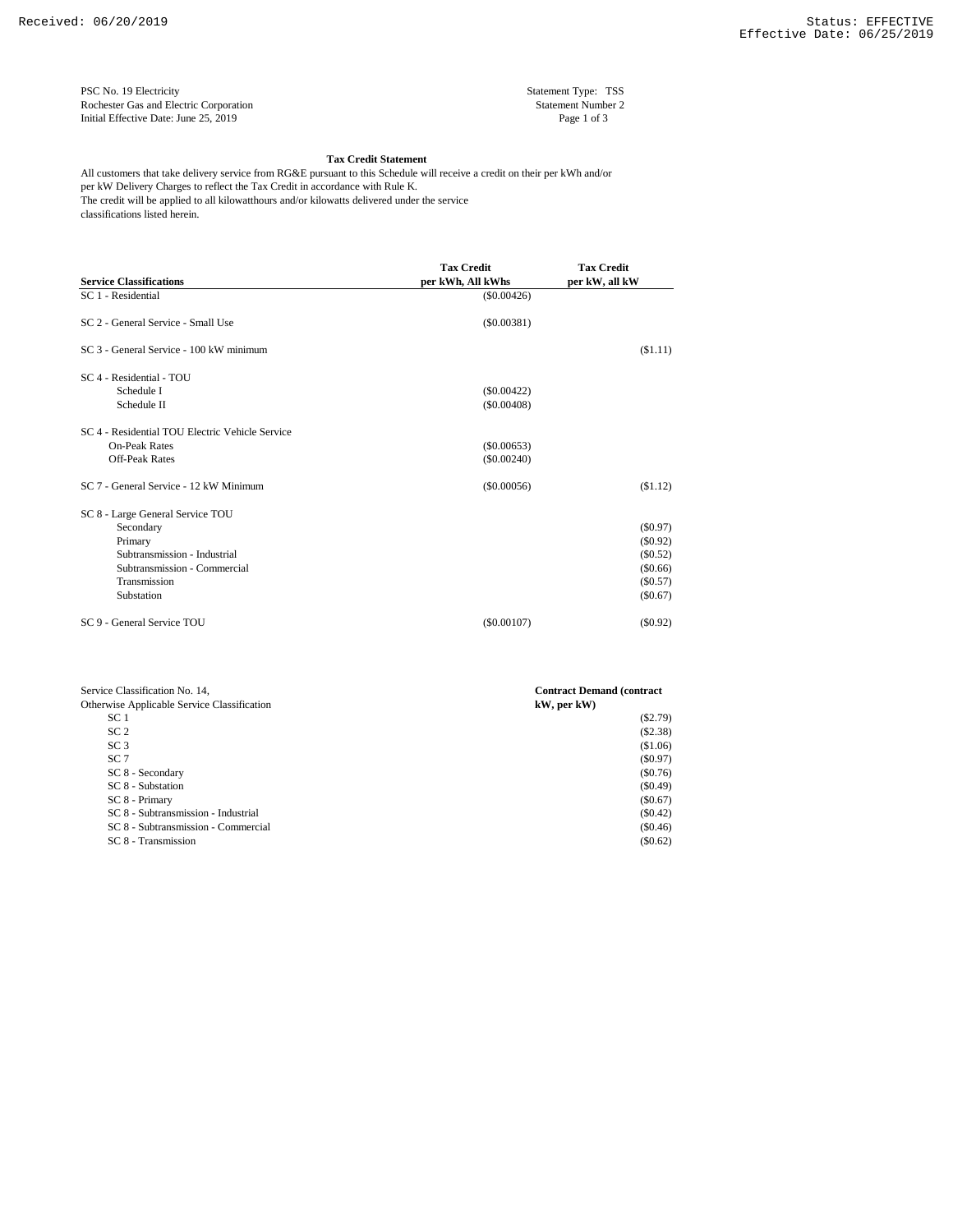PSC No. 19 Electricity Statement Type: TSS<br>
Rochester Gas and Electric Corporation Statement Number 2 Rochester Gas and Electric Corporation Initial Effective Date: June 25, 2019 Page 1 of 3

## **Tax Credit Statement**

per kW Delivery Charges to reflect the Tax Credit in accordance with Rule K. classifications listed herein. All customers that take delivery service from RG&E pursuant to this Schedule will receive a credit on their per kWh and/or The credit will be applied to all kilowatthours and/or kilowatts delivered under the service

| <b>Service Classifications</b>                  | <b>Tax Credit</b><br>per kWh, All kWhs | <b>Tax Credit</b><br>per kW, all kW |  |
|-------------------------------------------------|----------------------------------------|-------------------------------------|--|
| SC 1 - Residential                              | $(\$0.00426)$                          |                                     |  |
| SC 2 - General Service - Small Use              | (S0.00381)                             |                                     |  |
| SC 3 - General Service - 100 kW minimum         |                                        | (S1.11)                             |  |
| SC 4 - Residential - TOU                        |                                        |                                     |  |
| Schedule I                                      | $(\$0.00422)$                          |                                     |  |
| Schedule II                                     | $($ \$0.00408)                         |                                     |  |
| SC 4 - Residential TOU Electric Vehicle Service |                                        |                                     |  |
| <b>On-Peak Rates</b>                            | (\$0.00653)                            |                                     |  |
| <b>Off-Peak Rates</b>                           | (\$0.00240)                            |                                     |  |
| SC 7 - General Service - 12 kW Minimum          | $($ \$0.00056)                         | (S1.12)                             |  |
| SC 8 - Large General Service TOU                |                                        |                                     |  |
| Secondary                                       |                                        | $(\$0.97)$                          |  |
| Primary                                         |                                        | (S0.92)                             |  |
| Subtransmission - Industrial                    |                                        | (\$0.52)                            |  |
| Subtransmission - Commercial                    |                                        | (\$0.66)                            |  |
| Transmission                                    |                                        | (\$0.57)                            |  |
| Substation                                      |                                        | $(\$0.67)$                          |  |
| SC 9 - General Service TOU                      | $(\$0.00107)$                          | (S0.92)                             |  |

| Service Classification No. 14,              | <b>Contract Demand (contract)</b> |  |  |
|---------------------------------------------|-----------------------------------|--|--|
| Otherwise Applicable Service Classification | kW, per kW)                       |  |  |
| SC <sub>1</sub>                             | $(\$2.79)$                        |  |  |
| SC <sub>2</sub>                             | (S2.38)                           |  |  |
| SC <sub>3</sub>                             | (\$1.06)                          |  |  |
| SC <sub>7</sub>                             | (S0.97)                           |  |  |
| SC 8 - Secondary                            | (S0.76)                           |  |  |
| SC 8 - Substation                           | (S0.49)                           |  |  |
| SC 8 - Primary                              | (S0.67)                           |  |  |
| SC 8 - Subtransmission - Industrial         | $(\$0.42)$                        |  |  |
| SC 8 - Subtransmission - Commercial         | (S0.46)                           |  |  |
| SC 8 - Transmission                         | (\$0.62)                          |  |  |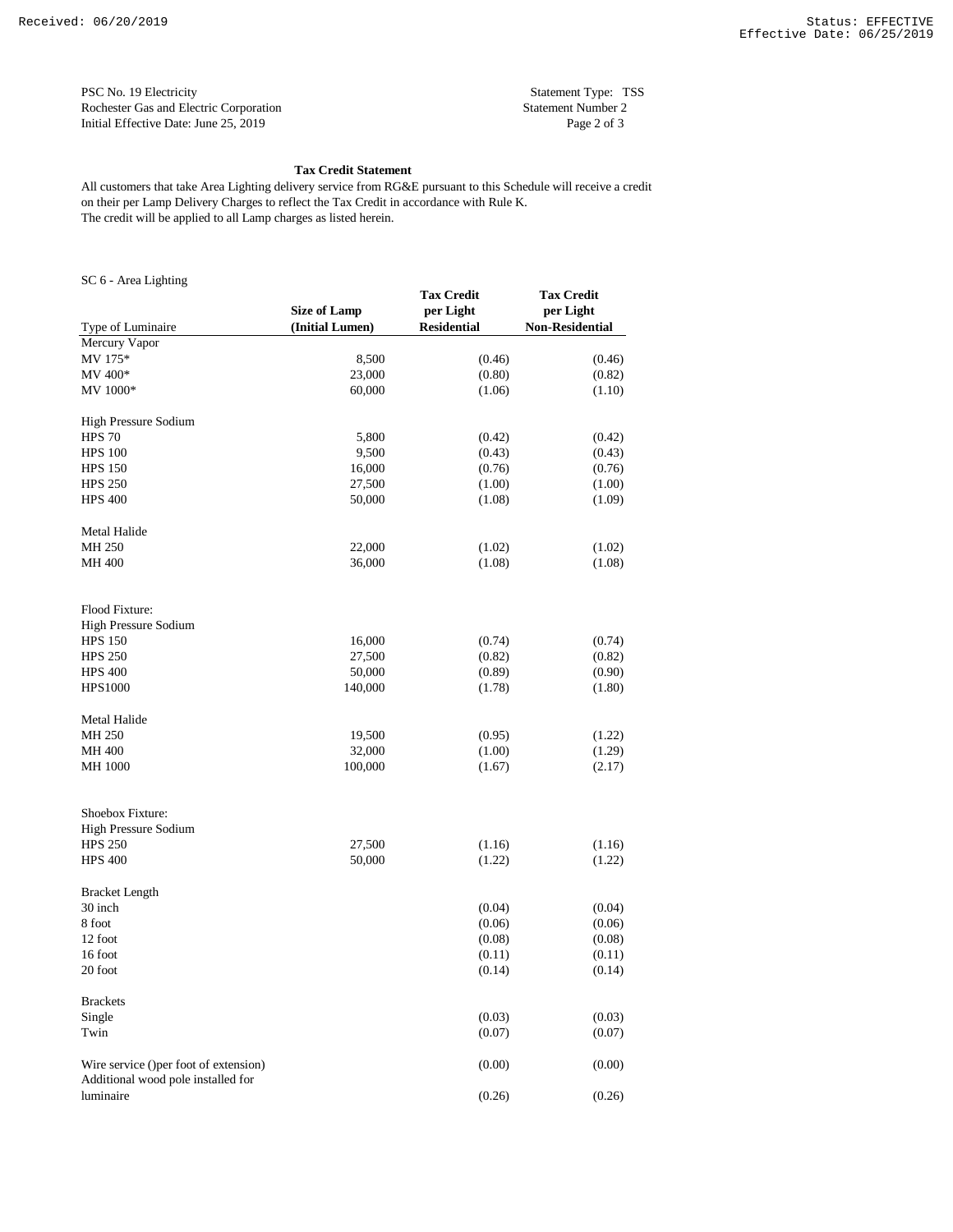PSC No. 19 Electricity Statement Type: TSS Rochester Gas and Electric Corporation Statement Number 2 Initial Effective Date: June 25, 2019 Page 2 of 3

## **Tax Credit Statement**

on their per Lamp Delivery Charges to reflect the Tax Credit in accordance with Rule K. The credit will be applied to all Lamp charges as listed herein. All customers that take Area Lighting delivery service from RG&E pursuant to this Schedule will receive a credit

SC 6 - Area Lighting

| $5C_0$ - Area Lighting                                                      | <b>Size of Lamp</b> | <b>Tax Credit</b><br>per Light | <b>Tax Credit</b><br>per Light |
|-----------------------------------------------------------------------------|---------------------|--------------------------------|--------------------------------|
| Type of Luminaire                                                           | (Initial Lumen)     | <b>Residential</b>             | <b>Non-Residential</b>         |
| Mercury Vapor                                                               |                     |                                |                                |
| MV 175*                                                                     | 8,500               | (0.46)                         | (0.46)                         |
| MV 400*                                                                     | 23,000              | (0.80)                         | (0.82)                         |
| MV 1000*                                                                    | 60,000              | (1.06)                         | (1.10)                         |
| High Pressure Sodium                                                        |                     |                                |                                |
| <b>HPS 70</b>                                                               | 5,800               | (0.42)                         | (0.42)                         |
| <b>HPS 100</b>                                                              | 9,500               | (0.43)                         | (0.43)                         |
| <b>HPS 150</b>                                                              | 16,000              | (0.76)                         | (0.76)                         |
| <b>HPS 250</b>                                                              | 27,500              | (1.00)                         | (1.00)                         |
| <b>HPS 400</b>                                                              | 50,000              | (1.08)                         | (1.09)                         |
| Metal Halide                                                                |                     |                                |                                |
| MH 250                                                                      | 22,000              | (1.02)                         | (1.02)                         |
| MH 400                                                                      | 36,000              | (1.08)                         | (1.08)                         |
| Flood Fixture:                                                              |                     |                                |                                |
| High Pressure Sodium                                                        |                     |                                |                                |
| <b>HPS 150</b>                                                              | 16,000              | (0.74)                         | (0.74)                         |
| <b>HPS 250</b>                                                              | 27,500              | (0.82)                         | (0.82)                         |
| <b>HPS 400</b>                                                              | 50,000              | (0.89)                         | (0.90)                         |
| <b>HPS1000</b>                                                              | 140,000             | (1.78)                         | (1.80)                         |
| Metal Halide                                                                |                     |                                |                                |
| MH 250                                                                      | 19,500              | (0.95)                         | (1.22)                         |
| MH 400                                                                      | 32,000              | (1.00)                         | (1.29)                         |
| <b>MH 1000</b>                                                              | 100,000             | (1.67)                         | (2.17)                         |
|                                                                             |                     |                                |                                |
| Shoebox Fixture:                                                            |                     |                                |                                |
| High Pressure Sodium                                                        |                     |                                |                                |
| <b>HPS 250</b>                                                              | 27,500              | (1.16)                         | (1.16)                         |
| <b>HPS 400</b>                                                              | 50,000              | (1.22)                         | (1.22)                         |
| <b>Bracket Length</b>                                                       |                     |                                |                                |
| 30 inch                                                                     |                     | (0.04)                         | (0.04)                         |
| 8 foot                                                                      |                     | (0.06)                         | (0.06)                         |
| 12 foot                                                                     |                     | (0.08)                         | (0.08)                         |
| 16 foot                                                                     |                     | (0.11)                         | (0.11)                         |
| 20 foot                                                                     |                     | (0.14)                         | (0.14)                         |
| <b>Brackets</b>                                                             |                     |                                |                                |
| Single                                                                      |                     | (0.03)                         | (0.03)                         |
| Twin                                                                        |                     | (0.07)                         | (0.07)                         |
| Wire service ()per foot of extension)<br>Additional wood pole installed for |                     | (0.00)                         | (0.00)                         |
| luminaire                                                                   |                     | (0.26)                         | (0.26)                         |